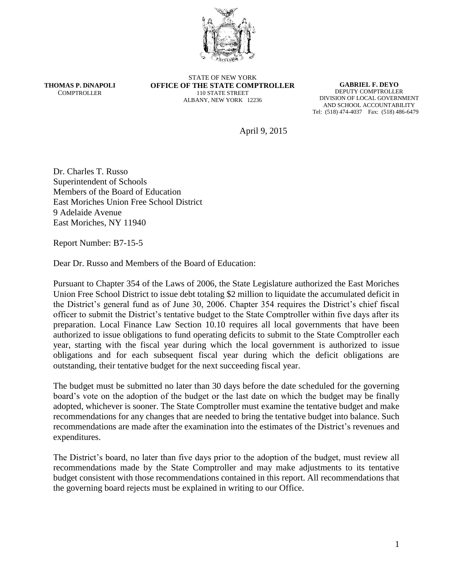

**THOMAS P. DiNAPOLI COMPTROLLER** 

STATE OF NEW YORK **OFFICE OF THE STATE COMPTROLLER** 110 STATE STREET ALBANY, NEW YORK 12236

**GABRIEL F. DEYO** DEPUTY COMPTROLLER DIVISION OF LOCAL GOVERNMENT AND SCHOOL ACCOUNTABILITY Tel: (518) 474-4037 Fax: (518) 486-6479

April 9, 2015

Dr. Charles T. Russo Superintendent of Schools Members of the Board of Education East Moriches Union Free School District 9 Adelaide Avenue East Moriches, NY 11940

Report Number: B7-15-5

Dear Dr. Russo and Members of the Board of Education:

Pursuant to Chapter 354 of the Laws of 2006, the State Legislature authorized the East Moriches Union Free School District to issue debt totaling \$2 million to liquidate the accumulated deficit in the District's general fund as of June 30, 2006. Chapter 354 requires the District's chief fiscal officer to submit the District's tentative budget to the State Comptroller within five days after its preparation. Local Finance Law Section 10.10 requires all local governments that have been authorized to issue obligations to fund operating deficits to submit to the State Comptroller each year, starting with the fiscal year during which the local government is authorized to issue obligations and for each subsequent fiscal year during which the deficit obligations are outstanding, their tentative budget for the next succeeding fiscal year.

The budget must be submitted no later than 30 days before the date scheduled for the governing board's vote on the adoption of the budget or the last date on which the budget may be finally adopted, whichever is sooner. The State Comptroller must examine the tentative budget and make recommendations for any changes that are needed to bring the tentative budget into balance. Such recommendations are made after the examination into the estimates of the District's revenues and expenditures.

The District's board, no later than five days prior to the adoption of the budget, must review all recommendations made by the State Comptroller and may make adjustments to its tentative budget consistent with those recommendations contained in this report. All recommendations that the governing board rejects must be explained in writing to our Office.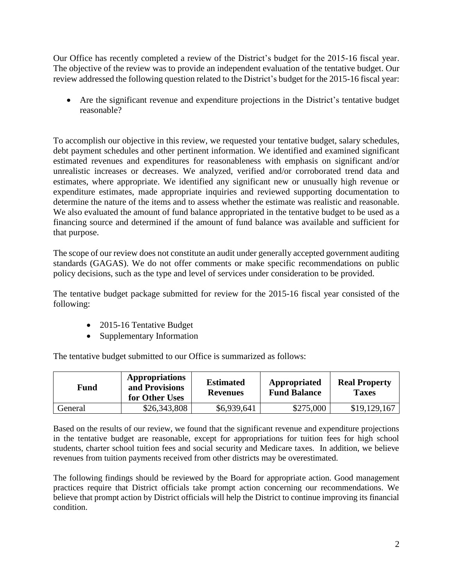Our Office has recently completed a review of the District's budget for the 2015-16 fiscal year. The objective of the review was to provide an independent evaluation of the tentative budget. Our review addressed the following question related to the District's budget for the 2015-16 fiscal year:

 Are the significant revenue and expenditure projections in the District's tentative budget reasonable?

To accomplish our objective in this review, we requested your tentative budget, salary schedules, debt payment schedules and other pertinent information. We identified and examined significant estimated revenues and expenditures for reasonableness with emphasis on significant and/or unrealistic increases or decreases. We analyzed, verified and/or corroborated trend data and estimates, where appropriate. We identified any significant new or unusually high revenue or expenditure estimates, made appropriate inquiries and reviewed supporting documentation to determine the nature of the items and to assess whether the estimate was realistic and reasonable. We also evaluated the amount of fund balance appropriated in the tentative budget to be used as a financing source and determined if the amount of fund balance was available and sufficient for that purpose.

The scope of our review does not constitute an audit under generally accepted government auditing standards (GAGAS). We do not offer comments or make specific recommendations on public policy decisions, such as the type and level of services under consideration to be provided.

The tentative budget package submitted for review for the 2015-16 fiscal year consisted of the following:

- 2015-16 Tentative Budget
- Supplementary Information

The tentative budget submitted to our Office is summarized as follows:

| Fund    | <b>Appropriations</b><br>and Provisions<br>for Other Uses | <b>Estimated</b><br><b>Revenues</b> | Appropriated<br><b>Fund Balance</b> | <b>Real Property</b><br><b>Taxes</b> |
|---------|-----------------------------------------------------------|-------------------------------------|-------------------------------------|--------------------------------------|
| General | \$26,343,808                                              | \$6,939,641                         | \$275,000                           | \$19,129,167                         |

Based on the results of our review, we found that the significant revenue and expenditure projections in the tentative budget are reasonable, except for appropriations for tuition fees for high school students, charter school tuition fees and social security and Medicare taxes. In addition, we believe revenues from tuition payments received from other districts may be overestimated.

The following findings should be reviewed by the Board for appropriate action. Good management practices require that District officials take prompt action concerning our recommendations. We believe that prompt action by District officials will help the District to continue improving its financial condition.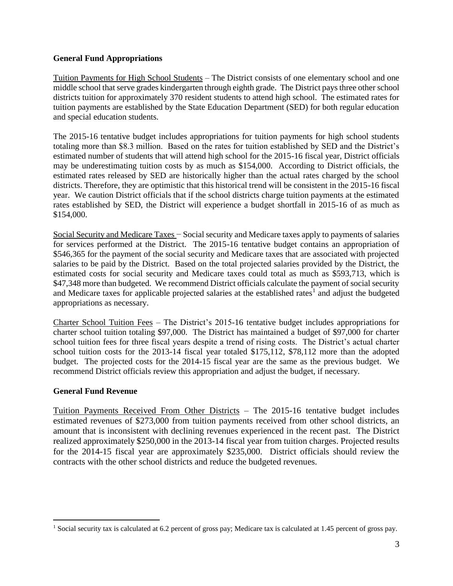## **General Fund Appropriations**

Tuition Payments for High School Students – The District consists of one elementary school and one middle school that serve grades kindergarten through eighth grade. The District pays three other school districts tuition for approximately 370 resident students to attend high school. The estimated rates for tuition payments are established by the State Education Department (SED) for both regular education and special education students.

The 2015-16 tentative budget includes appropriations for tuition payments for high school students totaling more than \$8.3 million. Based on the rates for tuition established by SED and the District's estimated number of students that will attend high school for the 2015-16 fiscal year, District officials may be underestimating tuition costs by as much as \$154,000. According to District officials, the estimated rates released by SED are historically higher than the actual rates charged by the school districts. Therefore, they are optimistic that this historical trend will be consistent in the 2015-16 fiscal year. We caution District officials that if the school districts charge tuition payments at the estimated rates established by SED, the District will experience a budget shortfall in 2015-16 of as much as \$154,000.

Social Security and Medicare Taxes − Social security and Medicare taxes apply to payments of salaries for services performed at the District. The 2015-16 tentative budget contains an appropriation of \$546,365 for the payment of the social security and Medicare taxes that are associated with projected salaries to be paid by the District. Based on the total projected salaries provided by the District, the estimated costs for social security and Medicare taxes could total as much as \$593,713, which is \$47,348 more than budgeted. We recommend District officials calculate the payment of social security and Medicare taxes for applicable projected salaries at the established rates<sup>1</sup> and adjust the budgeted appropriations as necessary.

Charter School Tuition Fees – The District's 2015-16 tentative budget includes appropriations for charter school tuition totaling \$97,000. The District has maintained a budget of \$97,000 for charter school tuition fees for three fiscal years despite a trend of rising costs. The District's actual charter school tuition costs for the 2013-14 fiscal year totaled \$175,112, \$78,112 more than the adopted budget. The projected costs for the 2014-15 fiscal year are the same as the previous budget. We recommend District officials review this appropriation and adjust the budget, if necessary.

## **General Fund Revenue**

 $\overline{a}$ 

Tuition Payments Received From Other Districts – The 2015-16 tentative budget includes estimated revenues of \$273,000 from tuition payments received from other school districts, an amount that is inconsistent with declining revenues experienced in the recent past. The District realized approximately \$250,000 in the 2013-14 fiscal year from tuition charges. Projected results for the 2014-15 fiscal year are approximately \$235,000. District officials should review the contracts with the other school districts and reduce the budgeted revenues.

<sup>&</sup>lt;sup>1</sup> Social security tax is calculated at 6.2 percent of gross pay; Medicare tax is calculated at 1.45 percent of gross pay.